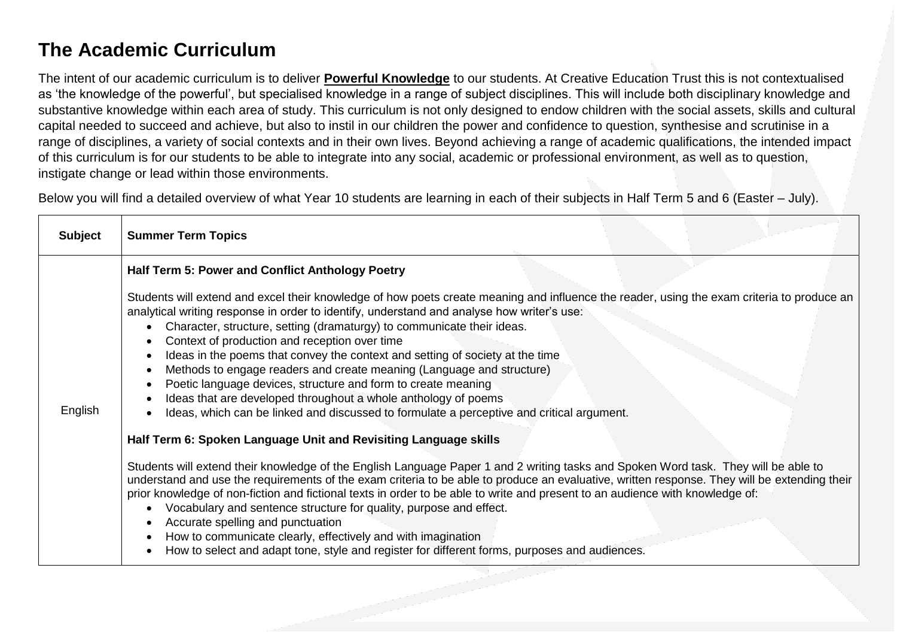## **The Academic Curriculum**

The intent of our academic curriculum is to deliver **Powerful Knowledge** to our students. At Creative Education Trust this is not contextualised as 'the knowledge of the powerful', but specialised knowledge in a range of subject disciplines. This will include both disciplinary knowledge and substantive knowledge within each area of study. This curriculum is not only designed to endow children with the social assets, skills and cultural capital needed to succeed and achieve, but also to instil in our children the power and confidence to question, synthesise and scrutinise in a range of disciplines, a variety of social contexts and in their own lives. Beyond achieving a range of academic qualifications, the intended impact of this curriculum is for our students to be able to integrate into any social, academic or professional environment, as well as to question, instigate change or lead within those environments.

Below you will find a detailed overview of what Year 10 students are learning in each of their subjects in Half Term 5 and 6 (Easter – July).

| <b>Subject</b> | <b>Summer Term Topics</b>                                                                                                                                                                                                                                                                                                                                                                                                                                                                                                                                                                                                                                                                                                                                     |
|----------------|---------------------------------------------------------------------------------------------------------------------------------------------------------------------------------------------------------------------------------------------------------------------------------------------------------------------------------------------------------------------------------------------------------------------------------------------------------------------------------------------------------------------------------------------------------------------------------------------------------------------------------------------------------------------------------------------------------------------------------------------------------------|
| English        | Half Term 5: Power and Conflict Anthology Poetry                                                                                                                                                                                                                                                                                                                                                                                                                                                                                                                                                                                                                                                                                                              |
|                | Students will extend and excel their knowledge of how poets create meaning and influence the reader, using the exam criteria to produce an<br>analytical writing response in order to identify, understand and analyse how writer's use:<br>Character, structure, setting (dramaturgy) to communicate their ideas.<br>Context of production and reception over time<br>Ideas in the poems that convey the context and setting of society at the time<br>Methods to engage readers and create meaning (Language and structure)<br>Poetic language devices, structure and form to create meaning<br>Ideas that are developed throughout a whole anthology of poems<br>Ideas, which can be linked and discussed to formulate a perceptive and critical argument. |
|                | Half Term 6: Spoken Language Unit and Revisiting Language skills<br>Students will extend their knowledge of the English Language Paper 1 and 2 writing tasks and Spoken Word task. They will be able to                                                                                                                                                                                                                                                                                                                                                                                                                                                                                                                                                       |
|                | understand and use the requirements of the exam criteria to be able to produce an evaluative, written response. They will be extending their<br>prior knowledge of non-fiction and fictional texts in order to be able to write and present to an audience with knowledge of:<br>Vocabulary and sentence structure for quality, purpose and effect.<br>Accurate spelling and punctuation<br>How to communicate clearly, effectively and with imagination<br>How to select and adapt tone, style and register for different forms, purposes and audiences.                                                                                                                                                                                                     |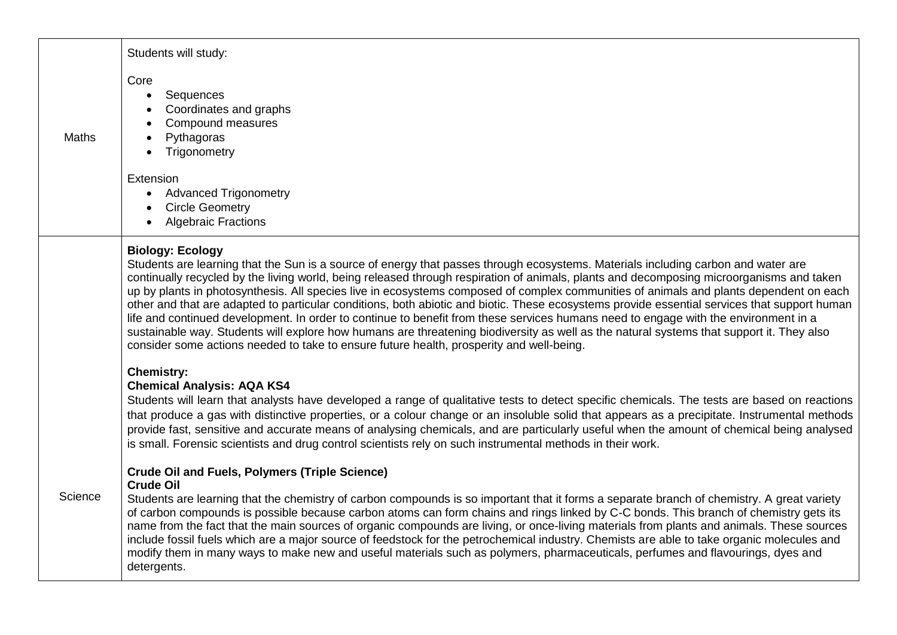|              | Students will study:                                                                                                                                                                                                                                                                                                                                                                                                                                                                                                                                                                                                                                                                                                                                                                                                                                                                                                                                                              |
|--------------|-----------------------------------------------------------------------------------------------------------------------------------------------------------------------------------------------------------------------------------------------------------------------------------------------------------------------------------------------------------------------------------------------------------------------------------------------------------------------------------------------------------------------------------------------------------------------------------------------------------------------------------------------------------------------------------------------------------------------------------------------------------------------------------------------------------------------------------------------------------------------------------------------------------------------------------------------------------------------------------|
| <b>Maths</b> | Core<br>Sequences<br>$\bullet$<br>Coordinates and graphs<br>Compound measures<br>Pythagoras<br>Trigonometry                                                                                                                                                                                                                                                                                                                                                                                                                                                                                                                                                                                                                                                                                                                                                                                                                                                                       |
|              | Extension<br><b>Advanced Trigonometry</b><br><b>Circle Geometry</b><br><b>Algebraic Fractions</b>                                                                                                                                                                                                                                                                                                                                                                                                                                                                                                                                                                                                                                                                                                                                                                                                                                                                                 |
|              | <b>Biology: Ecology</b><br>Students are learning that the Sun is a source of energy that passes through ecosystems. Materials including carbon and water are<br>continually recycled by the living world, being released through respiration of animals, plants and decomposing microorganisms and taken<br>up by plants in photosynthesis. All species live in ecosystems composed of complex communities of animals and plants dependent on each<br>other and that are adapted to particular conditions, both abiotic and biotic. These ecosystems provide essential services that support human<br>life and continued development. In order to continue to benefit from these services humans need to engage with the environment in a<br>sustainable way. Students will explore how humans are threatening biodiversity as well as the natural systems that support it. They also<br>consider some actions needed to take to ensure future health, prosperity and well-being. |
|              | <b>Chemistry:</b><br><b>Chemical Analysis: AQA KS4</b><br>Students will learn that analysts have developed a range of qualitative tests to detect specific chemicals. The tests are based on reactions<br>that produce a gas with distinctive properties, or a colour change or an insoluble solid that appears as a precipitate. Instrumental methods<br>provide fast, sensitive and accurate means of analysing chemicals, and are particularly useful when the amount of chemical being analysed<br>is small. Forensic scientists and drug control scientists rely on such instrumental methods in their work.                                                                                                                                                                                                                                                                                                                                                                 |
| Science      | <b>Crude Oil and Fuels, Polymers (Triple Science)</b><br><b>Crude Oil</b><br>Students are learning that the chemistry of carbon compounds is so important that it forms a separate branch of chemistry. A great variety<br>of carbon compounds is possible because carbon atoms can form chains and rings linked by C-C bonds. This branch of chemistry gets its<br>name from the fact that the main sources of organic compounds are living, or once-living materials from plants and animals. These sources<br>include fossil fuels which are a major source of feedstock for the petrochemical industry. Chemists are able to take organic molecules and<br>modify them in many ways to make new and useful materials such as polymers, pharmaceuticals, perfumes and flavourings, dyes and<br>detergents.                                                                                                                                                                     |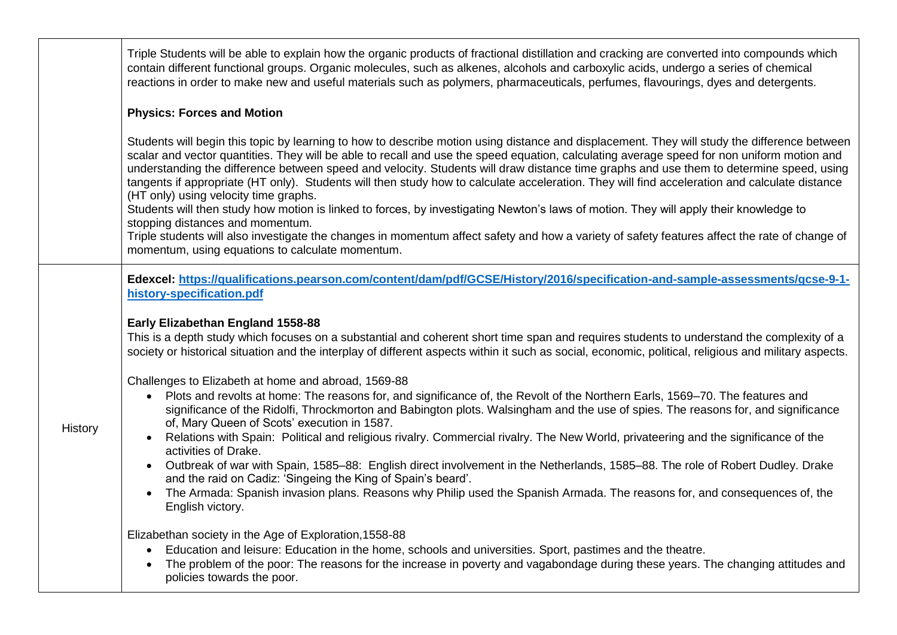|         | Triple Students will be able to explain how the organic products of fractional distillation and cracking are converted into compounds which<br>contain different functional groups. Organic molecules, such as alkenes, alcohols and carboxylic acids, undergo a series of chemical<br>reactions in order to make new and useful materials such as polymers, pharmaceuticals, perfumes, flavourings, dyes and detergents.                                                                                                                                                                                                                                                                                                                                                                                    |
|---------|--------------------------------------------------------------------------------------------------------------------------------------------------------------------------------------------------------------------------------------------------------------------------------------------------------------------------------------------------------------------------------------------------------------------------------------------------------------------------------------------------------------------------------------------------------------------------------------------------------------------------------------------------------------------------------------------------------------------------------------------------------------------------------------------------------------|
|         | <b>Physics: Forces and Motion</b>                                                                                                                                                                                                                                                                                                                                                                                                                                                                                                                                                                                                                                                                                                                                                                            |
|         | Students will begin this topic by learning to how to describe motion using distance and displacement. They will study the difference between<br>scalar and vector quantities. They will be able to recall and use the speed equation, calculating average speed for non uniform motion and<br>understanding the difference between speed and velocity. Students will draw distance time graphs and use them to determine speed, using<br>tangents if appropriate (HT only). Students will then study how to calculate acceleration. They will find acceleration and calculate distance<br>(HT only) using velocity time graphs.<br>Students will then study how motion is linked to forces, by investigating Newton's laws of motion. They will apply their knowledge to<br>stopping distances and momentum. |
|         | Triple students will also investigate the changes in momentum affect safety and how a variety of safety features affect the rate of change of<br>momentum, using equations to calculate momentum.                                                                                                                                                                                                                                                                                                                                                                                                                                                                                                                                                                                                            |
|         | Edexcel: https://qualifications.pearson.com/content/dam/pdf/GCSE/History/2016/specification-and-sample-assessments/gcse-9-1-<br>history-specification.pdf                                                                                                                                                                                                                                                                                                                                                                                                                                                                                                                                                                                                                                                    |
|         | Early Elizabethan England 1558-88<br>This is a depth study which focuses on a substantial and coherent short time span and requires students to understand the complexity of a<br>society or historical situation and the interplay of different aspects within it such as social, economic, political, religious and military aspects.                                                                                                                                                                                                                                                                                                                                                                                                                                                                      |
|         | Challenges to Elizabeth at home and abroad, 1569-88                                                                                                                                                                                                                                                                                                                                                                                                                                                                                                                                                                                                                                                                                                                                                          |
| History | • Plots and revolts at home: The reasons for, and significance of, the Revolt of the Northern Earls, 1569–70. The features and<br>significance of the Ridolfi, Throckmorton and Babington plots. Walsingham and the use of spies. The reasons for, and significance<br>of, Mary Queen of Scots' execution in 1587.                                                                                                                                                                                                                                                                                                                                                                                                                                                                                           |
|         | Relations with Spain: Political and religious rivalry. Commercial rivalry. The New World, privateering and the significance of the<br>activities of Drake.                                                                                                                                                                                                                                                                                                                                                                                                                                                                                                                                                                                                                                                   |
|         | Outbreak of war with Spain, 1585-88: English direct involvement in the Netherlands, 1585-88. The role of Robert Dudley. Drake<br>$\bullet$<br>and the raid on Cadiz: 'Singeing the King of Spain's beard'.                                                                                                                                                                                                                                                                                                                                                                                                                                                                                                                                                                                                   |
|         | The Armada: Spanish invasion plans. Reasons why Philip used the Spanish Armada. The reasons for, and consequences of, the<br>English victory.                                                                                                                                                                                                                                                                                                                                                                                                                                                                                                                                                                                                                                                                |
|         | Elizabethan society in the Age of Exploration, 1558-88<br>Education and leisure: Education in the home, schools and universities. Sport, pastimes and the theatre.<br>The problem of the poor: The reasons for the increase in poverty and vagabondage during these years. The changing attitudes and<br>policies towards the poor.                                                                                                                                                                                                                                                                                                                                                                                                                                                                          |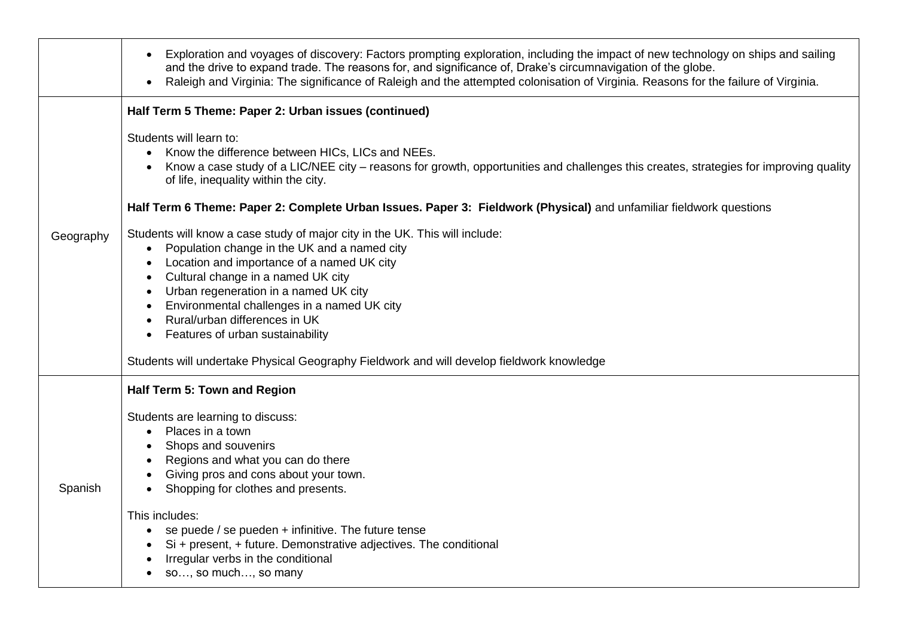|           | Exploration and voyages of discovery: Factors prompting exploration, including the impact of new technology on ships and sailing<br>$\bullet$<br>and the drive to expand trade. The reasons for, and significance of, Drake's circumnavigation of the globe.<br>Raleigh and Virginia: The significance of Raleigh and the attempted colonisation of Virginia. Reasons for the failure of Virginia. |
|-----------|----------------------------------------------------------------------------------------------------------------------------------------------------------------------------------------------------------------------------------------------------------------------------------------------------------------------------------------------------------------------------------------------------|
|           | Half Term 5 Theme: Paper 2: Urban issues (continued)                                                                                                                                                                                                                                                                                                                                               |
|           | Students will learn to:<br>Know the difference between HICs, LICs and NEEs.<br>$\bullet$<br>Know a case study of a LIC/NEE city - reasons for growth, opportunities and challenges this creates, strategies for improving quality<br>of life, inequality within the city.                                                                                                                          |
|           | Half Term 6 Theme: Paper 2: Complete Urban Issues. Paper 3: Fieldwork (Physical) and unfamiliar fieldwork questions                                                                                                                                                                                                                                                                                |
| Geography | Students will know a case study of major city in the UK. This will include:<br>Population change in the UK and a named city<br>Location and importance of a named UK city<br>Cultural change in a named UK city<br>Urban regeneration in a named UK city<br>Environmental challenges in a named UK city<br>Rural/urban differences in UK<br>Features of urban sustainability                       |
|           | Students will undertake Physical Geography Fieldwork and will develop fieldwork knowledge                                                                                                                                                                                                                                                                                                          |
|           | Half Term 5: Town and Region                                                                                                                                                                                                                                                                                                                                                                       |
| Spanish   | Students are learning to discuss:<br>Places in a town<br>Shops and souvenirs<br>Regions and what you can do there<br>Giving pros and cons about your town.<br>Shopping for clothes and presents.                                                                                                                                                                                                   |
|           | This includes:<br>se puede / se pueden + infinitive. The future tense<br>$\bullet$<br>Si + present, + future. Demonstrative adjectives. The conditional<br>Irregular verbs in the conditional<br>so, so much, so many                                                                                                                                                                              |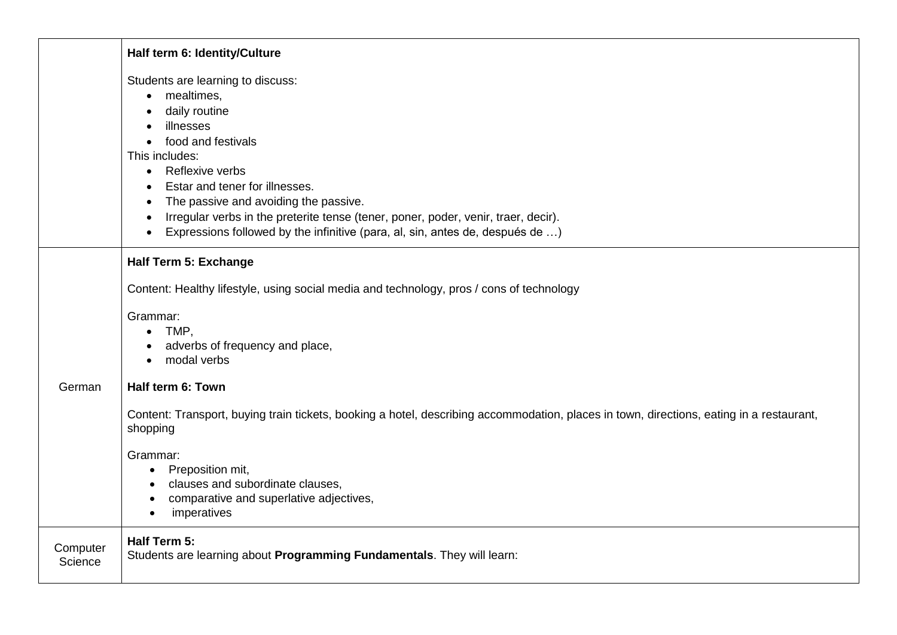|                     | Half term 6: Identity/Culture                                                                                                                                                                                                                                                                                                                                                                                                     |
|---------------------|-----------------------------------------------------------------------------------------------------------------------------------------------------------------------------------------------------------------------------------------------------------------------------------------------------------------------------------------------------------------------------------------------------------------------------------|
|                     | Students are learning to discuss:<br>mealtimes,<br>$\bullet$<br>daily routine<br>illnesses<br>food and festivals<br>This includes:<br>Reflexive verbs<br>$\bullet$<br>Estar and tener for illnesses.<br>The passive and avoiding the passive.<br>Irregular verbs in the preterite tense (tener, poner, poder, venir, traer, decir).<br>$\bullet$<br>Expressions followed by the infinitive (para, al, sin, antes de, después de ) |
|                     | <b>Half Term 5: Exchange</b><br>Content: Healthy lifestyle, using social media and technology, pros / cons of technology<br>Grammar:<br>TMP,<br>$\bullet$<br>adverbs of frequency and place,<br>modal verbs                                                                                                                                                                                                                       |
| German              | Half term 6: Town<br>Content: Transport, buying train tickets, booking a hotel, describing accommodation, places in town, directions, eating in a restaurant,<br>shopping<br>Grammar:<br>Preposition mit,<br>$\bullet$<br>clauses and subordinate clauses,<br>comparative and superlative adjectives,<br>imperatives                                                                                                              |
| Computer<br>Science | Half Term 5:<br>Students are learning about Programming Fundamentals. They will learn:                                                                                                                                                                                                                                                                                                                                            |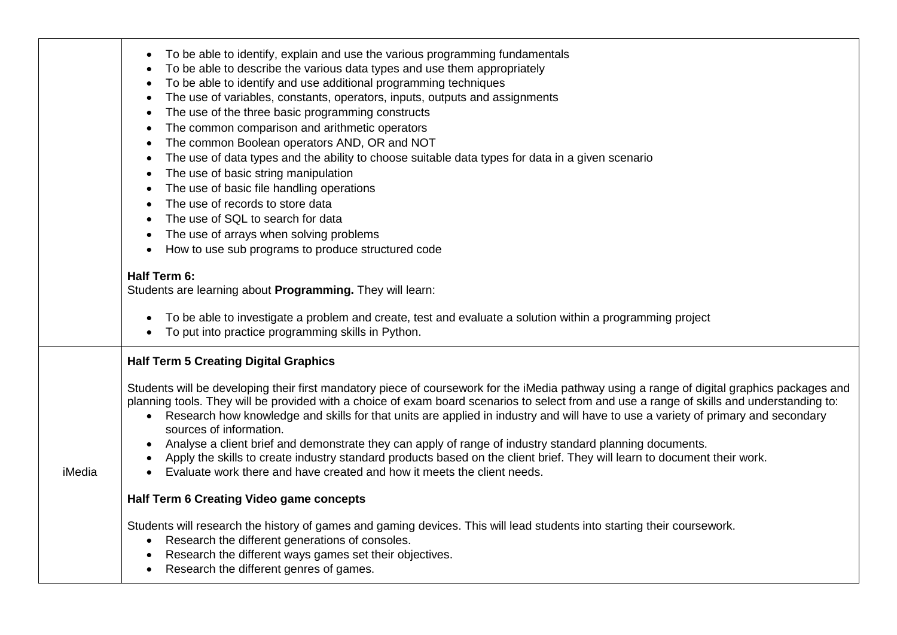|        | To be able to identify, explain and use the various programming fundamentals<br>$\bullet$<br>To be able to describe the various data types and use them appropriately<br>$\bullet$<br>To be able to identify and use additional programming techniques<br>$\bullet$<br>The use of variables, constants, operators, inputs, outputs and assignments<br>$\bullet$<br>The use of the three basic programming constructs<br>$\bullet$<br>The common comparison and arithmetic operators<br>$\bullet$<br>The common Boolean operators AND, OR and NOT<br>$\bullet$<br>The use of data types and the ability to choose suitable data types for data in a given scenario<br>$\bullet$<br>The use of basic string manipulation<br>$\bullet$<br>The use of basic file handling operations<br>$\bullet$<br>The use of records to store data<br>$\bullet$<br>The use of SQL to search for data<br>$\bullet$<br>The use of arrays when solving problems<br>$\bullet$<br>How to use sub programs to produce structured code<br>$\bullet$<br>Half Term 6:<br>Students are learning about Programming. They will learn:<br>To be able to investigate a problem and create, test and evaluate a solution within a programming project<br>$\bullet$<br>To put into practice programming skills in Python. |
|--------|------------------------------------------------------------------------------------------------------------------------------------------------------------------------------------------------------------------------------------------------------------------------------------------------------------------------------------------------------------------------------------------------------------------------------------------------------------------------------------------------------------------------------------------------------------------------------------------------------------------------------------------------------------------------------------------------------------------------------------------------------------------------------------------------------------------------------------------------------------------------------------------------------------------------------------------------------------------------------------------------------------------------------------------------------------------------------------------------------------------------------------------------------------------------------------------------------------------------------------------------------------------------------------------|
| iMedia | <b>Half Term 5 Creating Digital Graphics</b><br>Students will be developing their first mandatory piece of coursework for the iMedia pathway using a range of digital graphics packages and<br>planning tools. They will be provided with a choice of exam board scenarios to select from and use a range of skills and understanding to:<br>• Research how knowledge and skills for that units are applied in industry and will have to use a variety of primary and secondary<br>sources of information.<br>Analyse a client brief and demonstrate they can apply of range of industry standard planning documents.<br>$\bullet$<br>Apply the skills to create industry standard products based on the client brief. They will learn to document their work.<br>Evaluate work there and have created and how it meets the client needs.<br>Half Term 6 Creating Video game concepts<br>Students will research the history of games and gaming devices. This will lead students into starting their coursework.<br>Research the different generations of consoles.<br>$\bullet$<br>Research the different ways games set their objectives.<br>Research the different genres of games.                                                                                                   |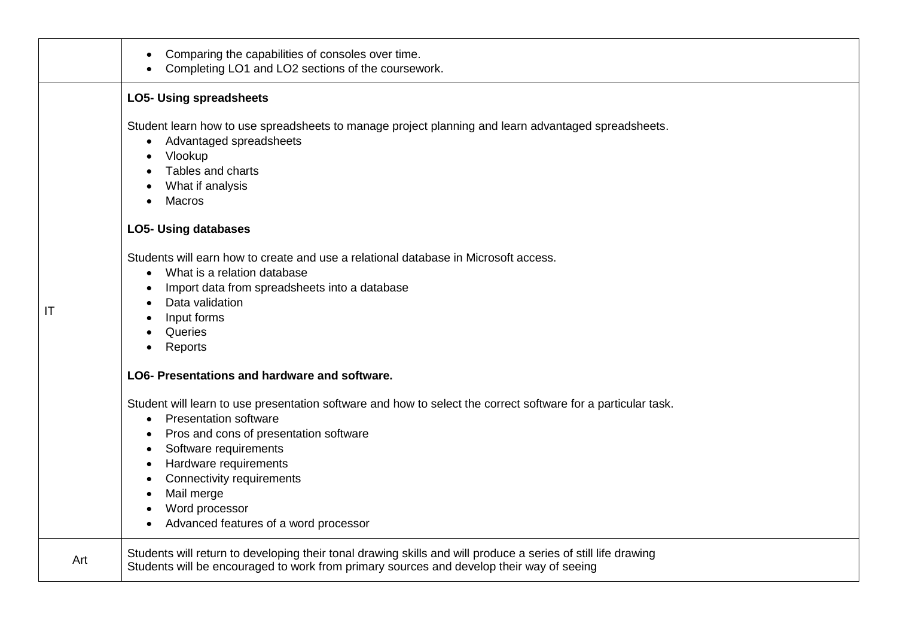|     | Comparing the capabilities of consoles over time.<br>Completing LO1 and LO2 sections of the coursework.                                                                                                                                                                                                                                                                                  |
|-----|------------------------------------------------------------------------------------------------------------------------------------------------------------------------------------------------------------------------------------------------------------------------------------------------------------------------------------------------------------------------------------------|
|     | <b>LO5- Using spreadsheets</b>                                                                                                                                                                                                                                                                                                                                                           |
|     | Student learn how to use spreadsheets to manage project planning and learn advantaged spreadsheets.<br>Advantaged spreadsheets<br>$\bullet$<br>Vlookup<br>Tables and charts<br>What if analysis<br>Macros                                                                                                                                                                                |
|     | <b>LO5- Using databases</b>                                                                                                                                                                                                                                                                                                                                                              |
| IT  | Students will earn how to create and use a relational database in Microsoft access.<br>What is a relation database<br>$\bullet$<br>Import data from spreadsheets into a database<br>$\bullet$<br>Data validation<br>Input forms<br>Queries<br>Reports                                                                                                                                    |
|     | LO6- Presentations and hardware and software.                                                                                                                                                                                                                                                                                                                                            |
|     | Student will learn to use presentation software and how to select the correct software for a particular task.<br>• Presentation software<br>Pros and cons of presentation software<br>Software requirements<br>Hardware requirements<br><b>Connectivity requirements</b><br>$\bullet$<br>Mail merge<br>$\bullet$<br>Word processor<br>Advanced features of a word processor<br>$\bullet$ |
| Art | Students will return to developing their tonal drawing skills and will produce a series of still life drawing<br>Students will be encouraged to work from primary sources and develop their way of seeing                                                                                                                                                                                |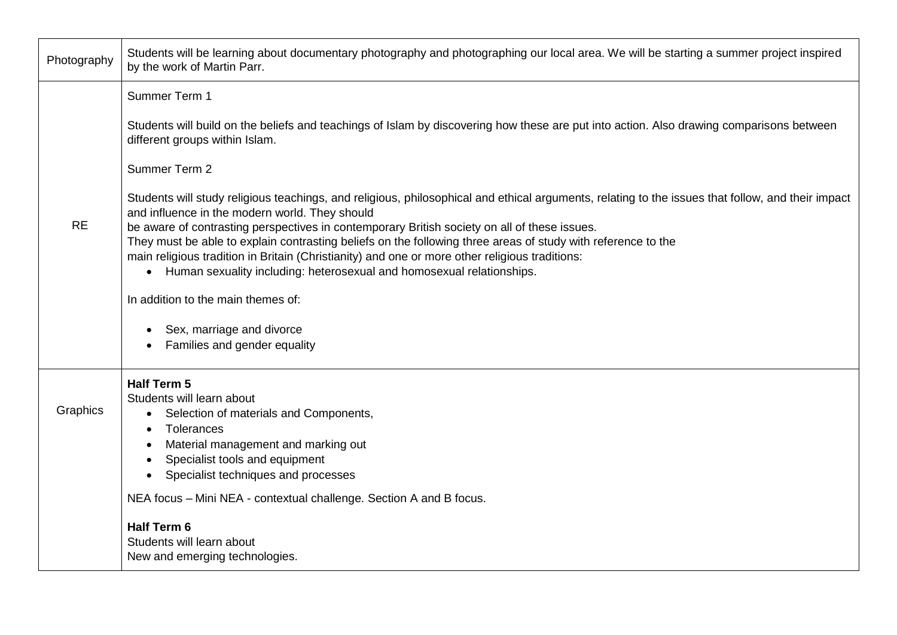| Photography | Students will be learning about documentary photography and photographing our local area. We will be starting a summer project inspired<br>by the work of Martin Parr.                                                                                                                                                                                                                                                                                                                                                                                                                                      |
|-------------|-------------------------------------------------------------------------------------------------------------------------------------------------------------------------------------------------------------------------------------------------------------------------------------------------------------------------------------------------------------------------------------------------------------------------------------------------------------------------------------------------------------------------------------------------------------------------------------------------------------|
|             | Summer Term 1                                                                                                                                                                                                                                                                                                                                                                                                                                                                                                                                                                                               |
| <b>RE</b>   | Students will build on the beliefs and teachings of Islam by discovering how these are put into action. Also drawing comparisons between<br>different groups within Islam.                                                                                                                                                                                                                                                                                                                                                                                                                                  |
|             | Summer Term 2                                                                                                                                                                                                                                                                                                                                                                                                                                                                                                                                                                                               |
|             | Students will study religious teachings, and religious, philosophical and ethical arguments, relating to the issues that follow, and their impact<br>and influence in the modern world. They should<br>be aware of contrasting perspectives in contemporary British society on all of these issues.<br>They must be able to explain contrasting beliefs on the following three areas of study with reference to the<br>main religious tradition in Britain (Christianity) and one or more other religious traditions:<br>Human sexuality including: heterosexual and homosexual relationships.<br>$\bullet$ |
|             | In addition to the main themes of:                                                                                                                                                                                                                                                                                                                                                                                                                                                                                                                                                                          |
|             | Sex, marriage and divorce<br>Families and gender equality                                                                                                                                                                                                                                                                                                                                                                                                                                                                                                                                                   |
| Graphics    | Half Term 5<br>Students will learn about<br>Selection of materials and Components,<br>$\bullet$<br>Tolerances<br>Material management and marking out<br>Specialist tools and equipment<br>Specialist techniques and processes                                                                                                                                                                                                                                                                                                                                                                               |
|             | NEA focus - Mini NEA - contextual challenge. Section A and B focus.                                                                                                                                                                                                                                                                                                                                                                                                                                                                                                                                         |
|             | <b>Half Term 6</b><br>Students will learn about<br>New and emerging technologies.                                                                                                                                                                                                                                                                                                                                                                                                                                                                                                                           |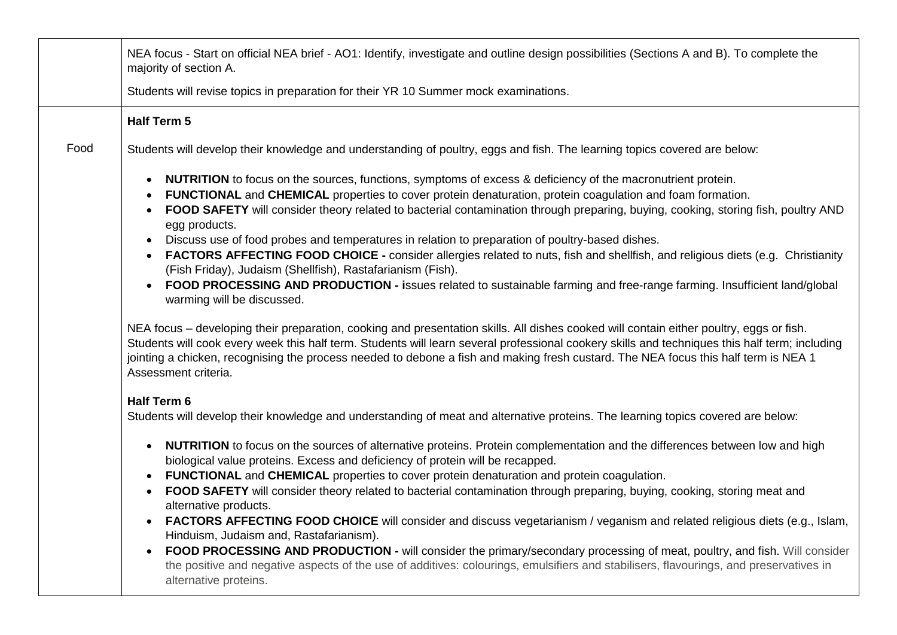|      | NEA focus - Start on official NEA brief - AO1: Identify, investigate and outline design possibilities (Sections A and B). To complete the<br>majority of section A.                                                                                                                                                                                                                                                                                                                                                                                                                                                                                                                                                                                                                                                                                                                                                                                                                                                                                                                                                                                                                                                                                                                                                               |
|------|-----------------------------------------------------------------------------------------------------------------------------------------------------------------------------------------------------------------------------------------------------------------------------------------------------------------------------------------------------------------------------------------------------------------------------------------------------------------------------------------------------------------------------------------------------------------------------------------------------------------------------------------------------------------------------------------------------------------------------------------------------------------------------------------------------------------------------------------------------------------------------------------------------------------------------------------------------------------------------------------------------------------------------------------------------------------------------------------------------------------------------------------------------------------------------------------------------------------------------------------------------------------------------------------------------------------------------------|
|      | Students will revise topics in preparation for their YR 10 Summer mock examinations.                                                                                                                                                                                                                                                                                                                                                                                                                                                                                                                                                                                                                                                                                                                                                                                                                                                                                                                                                                                                                                                                                                                                                                                                                                              |
|      | <b>Half Term 5</b>                                                                                                                                                                                                                                                                                                                                                                                                                                                                                                                                                                                                                                                                                                                                                                                                                                                                                                                                                                                                                                                                                                                                                                                                                                                                                                                |
| Food | Students will develop their knowledge and understanding of poultry, eggs and fish. The learning topics covered are below:                                                                                                                                                                                                                                                                                                                                                                                                                                                                                                                                                                                                                                                                                                                                                                                                                                                                                                                                                                                                                                                                                                                                                                                                         |
|      | <b>NUTRITION</b> to focus on the sources, functions, symptoms of excess & deficiency of the macronutrient protein.<br>FUNCTIONAL and CHEMICAL properties to cover protein denaturation, protein coagulation and foam formation.<br>FOOD SAFETY will consider theory related to bacterial contamination through preparing, buying, cooking, storing fish, poultry AND<br>egg products.<br>Discuss use of food probes and temperatures in relation to preparation of poultry-based dishes.<br>$\bullet$<br><b>FACTORS AFFECTING FOOD CHOICE -</b> consider allergies related to nuts, fish and shellfish, and religious diets (e.g. Christianity<br>(Fish Friday), Judaism (Shellfish), Rastafarianism (Fish).<br>FOOD PROCESSING AND PRODUCTION - issues related to sustainable farming and free-range farming. Insufficient land/global<br>warming will be discussed.<br>NEA focus – developing their preparation, cooking and presentation skills. All dishes cooked will contain either poultry, eggs or fish.<br>Students will cook every week this half term. Students will learn several professional cookery skills and techniques this half term; including<br>jointing a chicken, recognising the process needed to debone a fish and making fresh custard. The NEA focus this half term is NEA 1<br>Assessment criteria. |
|      | Half Term 6<br>Students will develop their knowledge and understanding of meat and alternative proteins. The learning topics covered are below:<br>NUTRITION to focus on the sources of alternative proteins. Protein complementation and the differences between low and high<br>biological value proteins. Excess and deficiency of protein will be recapped.<br>FUNCTIONAL and CHEMICAL properties to cover protein denaturation and protein coagulation.<br>FOOD SAFETY will consider theory related to bacterial contamination through preparing, buying, cooking, storing meat and<br>alternative products.<br><b>FACTORS AFFECTING FOOD CHOICE</b> will consider and discuss vegetarianism / veganism and related religious diets (e.g., Islam,<br>Hinduism, Judaism and, Rastafarianism).<br>FOOD PROCESSING AND PRODUCTION - will consider the primary/secondary processing of meat, poultry, and fish. Will consider<br>the positive and negative aspects of the use of additives: colourings, emulsifiers and stabilisers, flavourings, and preservatives in<br>alternative proteins.                                                                                                                                                                                                                                  |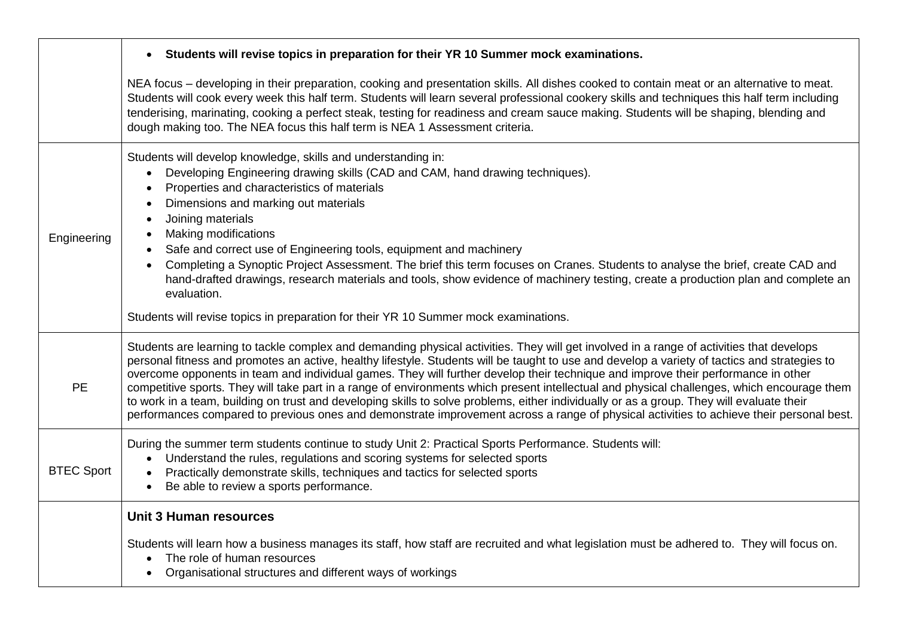|                   | Students will revise topics in preparation for their YR 10 Summer mock examinations.                                                                                                                                                                                                                                                                                                                                                                                                                                                                                                                                                                                                                                                                                                                                                                                   |
|-------------------|------------------------------------------------------------------------------------------------------------------------------------------------------------------------------------------------------------------------------------------------------------------------------------------------------------------------------------------------------------------------------------------------------------------------------------------------------------------------------------------------------------------------------------------------------------------------------------------------------------------------------------------------------------------------------------------------------------------------------------------------------------------------------------------------------------------------------------------------------------------------|
|                   | NEA focus – developing in their preparation, cooking and presentation skills. All dishes cooked to contain meat or an alternative to meat.<br>Students will cook every week this half term. Students will learn several professional cookery skills and techniques this half term including<br>tenderising, marinating, cooking a perfect steak, testing for readiness and cream sauce making. Students will be shaping, blending and<br>dough making too. The NEA focus this half term is NEA 1 Assessment criteria.                                                                                                                                                                                                                                                                                                                                                  |
| Engineering       | Students will develop knowledge, skills and understanding in:<br>Developing Engineering drawing skills (CAD and CAM, hand drawing techniques).<br>$\bullet$<br>Properties and characteristics of materials<br>Dimensions and marking out materials<br>Joining materials<br>Making modifications<br>$\bullet$<br>Safe and correct use of Engineering tools, equipment and machinery<br>Completing a Synoptic Project Assessment. The brief this term focuses on Cranes. Students to analyse the brief, create CAD and<br>hand-drafted drawings, research materials and tools, show evidence of machinery testing, create a production plan and complete an<br>evaluation.                                                                                                                                                                                               |
|                   | Students will revise topics in preparation for their YR 10 Summer mock examinations.                                                                                                                                                                                                                                                                                                                                                                                                                                                                                                                                                                                                                                                                                                                                                                                   |
| <b>PE</b>         | Students are learning to tackle complex and demanding physical activities. They will get involved in a range of activities that develops<br>personal fitness and promotes an active, healthy lifestyle. Students will be taught to use and develop a variety of tactics and strategies to<br>overcome opponents in team and individual games. They will further develop their technique and improve their performance in other<br>competitive sports. They will take part in a range of environments which present intellectual and physical challenges, which encourage them<br>to work in a team, building on trust and developing skills to solve problems, either individually or as a group. They will evaluate their<br>performances compared to previous ones and demonstrate improvement across a range of physical activities to achieve their personal best. |
| <b>BTEC Sport</b> | During the summer term students continue to study Unit 2: Practical Sports Performance. Students will:<br>Understand the rules, regulations and scoring systems for selected sports<br>$\bullet$<br>Practically demonstrate skills, techniques and tactics for selected sports<br>Be able to review a sports performance.                                                                                                                                                                                                                                                                                                                                                                                                                                                                                                                                              |
|                   | <b>Unit 3 Human resources</b>                                                                                                                                                                                                                                                                                                                                                                                                                                                                                                                                                                                                                                                                                                                                                                                                                                          |
|                   | Students will learn how a business manages its staff, how staff are recruited and what legislation must be adhered to. They will focus on.<br>The role of human resources<br>Organisational structures and different ways of workings                                                                                                                                                                                                                                                                                                                                                                                                                                                                                                                                                                                                                                  |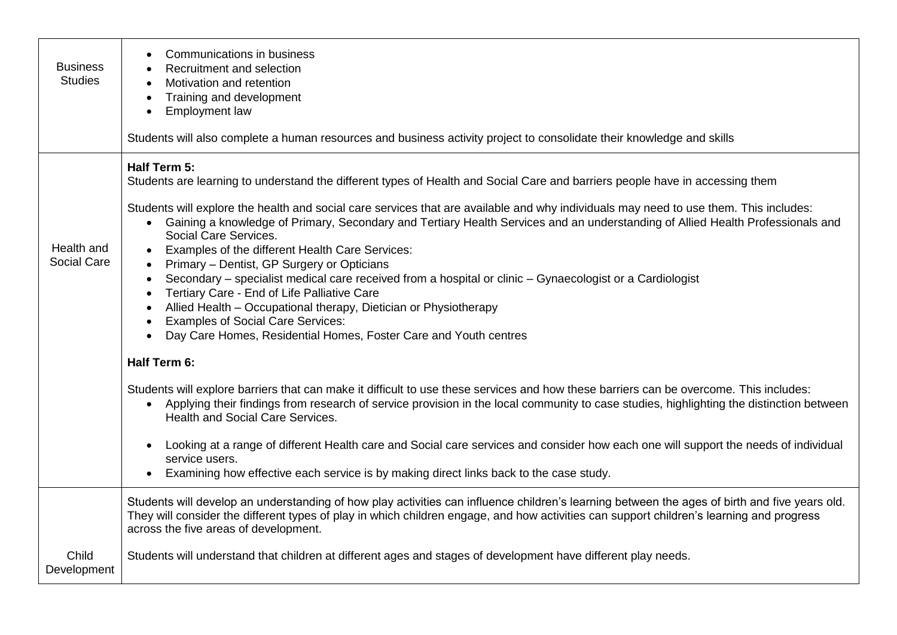| <b>Business</b><br><b>Studies</b> | <b>Communications in business</b><br>Recruitment and selection<br>Motivation and retention<br>Training and development<br><b>Employment law</b><br>$\bullet$<br>Students will also complete a human resources and business activity project to consolidate their knowledge and skills                                                                                                                                                                                                                                                                                                                                                                                                                                                              |
|-----------------------------------|----------------------------------------------------------------------------------------------------------------------------------------------------------------------------------------------------------------------------------------------------------------------------------------------------------------------------------------------------------------------------------------------------------------------------------------------------------------------------------------------------------------------------------------------------------------------------------------------------------------------------------------------------------------------------------------------------------------------------------------------------|
|                                   |                                                                                                                                                                                                                                                                                                                                                                                                                                                                                                                                                                                                                                                                                                                                                    |
|                                   | Half Term 5:<br>Students are learning to understand the different types of Health and Social Care and barriers people have in accessing them                                                                                                                                                                                                                                                                                                                                                                                                                                                                                                                                                                                                       |
| Health and<br><b>Social Care</b>  | Students will explore the health and social care services that are available and why individuals may need to use them. This includes:<br>• Gaining a knowledge of Primary, Secondary and Tertiary Health Services and an understanding of Allied Health Professionals and<br>Social Care Services.<br>Examples of the different Health Care Services:<br>Primary - Dentist, GP Surgery or Opticians<br>Secondary - specialist medical care received from a hospital or clinic - Gynaecologist or a Cardiologist<br>Tertiary Care - End of Life Palliative Care<br>Allied Health - Occupational therapy, Dietician or Physiotherapy<br><b>Examples of Social Care Services:</b><br>Day Care Homes, Residential Homes, Foster Care and Youth centres |
|                                   | Half Term 6:                                                                                                                                                                                                                                                                                                                                                                                                                                                                                                                                                                                                                                                                                                                                       |
|                                   | Students will explore barriers that can make it difficult to use these services and how these barriers can be overcome. This includes:<br>Applying their findings from research of service provision in the local community to case studies, highlighting the distinction between<br><b>Health and Social Care Services.</b>                                                                                                                                                                                                                                                                                                                                                                                                                       |
|                                   | Looking at a range of different Health care and Social care services and consider how each one will support the needs of individual<br>service users.<br>Examining how effective each service is by making direct links back to the case study.                                                                                                                                                                                                                                                                                                                                                                                                                                                                                                    |
|                                   | Students will develop an understanding of how play activities can influence children's learning between the ages of birth and five years old.<br>They will consider the different types of play in which children engage, and how activities can support children's learning and progress<br>across the five areas of development.                                                                                                                                                                                                                                                                                                                                                                                                                 |
| Child<br>Development              | Students will understand that children at different ages and stages of development have different play needs.                                                                                                                                                                                                                                                                                                                                                                                                                                                                                                                                                                                                                                      |